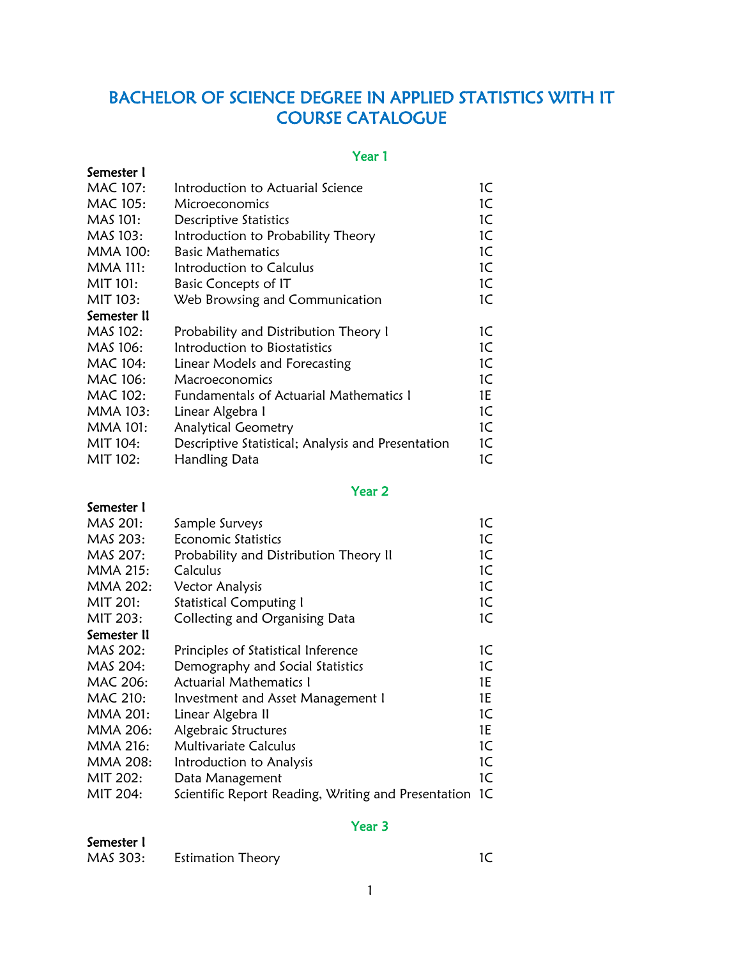# BACHELOR OF SCIENCE DEGREE IN APPLIED STATISTICS WITH IT COURSE CATALOGUE

#### Year 1

| Semester I      |                                                    |    |
|-----------------|----------------------------------------------------|----|
| <b>MAC 107:</b> | Introduction to Actuarial Science                  | 1C |
| MAC 105:        | Microeconomics                                     | 1C |
| MAS 101:        | Descriptive Statistics                             | 1C |
| MAS 103:        | Introduction to Probability Theory                 | 1C |
| <b>MMA 100:</b> | <b>Basic Mathematics</b>                           | 1C |
| <b>MMA 111:</b> | Introduction to Calculus                           | 1C |
| MIT 101:        | Basic Concepts of IT                               | 1C |
| MIT 103:        | Web Browsing and Communication                     | 1C |
| Semester II     |                                                    |    |
| MAS 102:        | Probability and Distribution Theory I              | 1C |
| MAS 106:        | Introduction to Biostatistics                      | 1C |
| MAC 104:        | Linear Models and Forecasting                      | 1C |
| MAC 106:        | Macroeconomics                                     | 1C |
| MAC 102:        | Fundamentals of Actuarial Mathematics 1            | 1E |
| <b>MMA 103:</b> | Linear Algebra I                                   | 1C |
| <b>MMA 101:</b> | <b>Analytical Geometry</b>                         | 1C |
| MIT 104:        | Descriptive Statistical; Analysis and Presentation | 1C |
| MIT 102:        | Handling Data                                      | 1C |

#### Year 2

## Semester I MAS 201: Sample Surveys 1C MAS 203: Economic Statistics 1C MAS 207: Probability and Distribution Theory II 1C MMA 215: Calculus 1C MMA 202: Vector Analysis 1C MIT 201: Statistical Computing I 1C MIT 203: Collecting and Organising Data 1C Semester II MAS 202: Principles of Statistical Inference 1C MAS 204: Demography and Social Statistics 1C MAC 206: Actuarial Mathematics I 1E MAC 210: Investment and Asset Management I 1E MMA 201: Linear Algebra II 10 MMA 206: Algebraic Structures 1E MMA 216: Multivariate Calculus 1C MMA 208: Introduction to Analysis **1C** MIT 202: Data Management 1C MIT 204: Scientific Report Reading, Writing and Presentation 1C

### Year 3

| Semester 1 |                          |  |
|------------|--------------------------|--|
| MAS 303:   | <b>Estimation Theory</b> |  |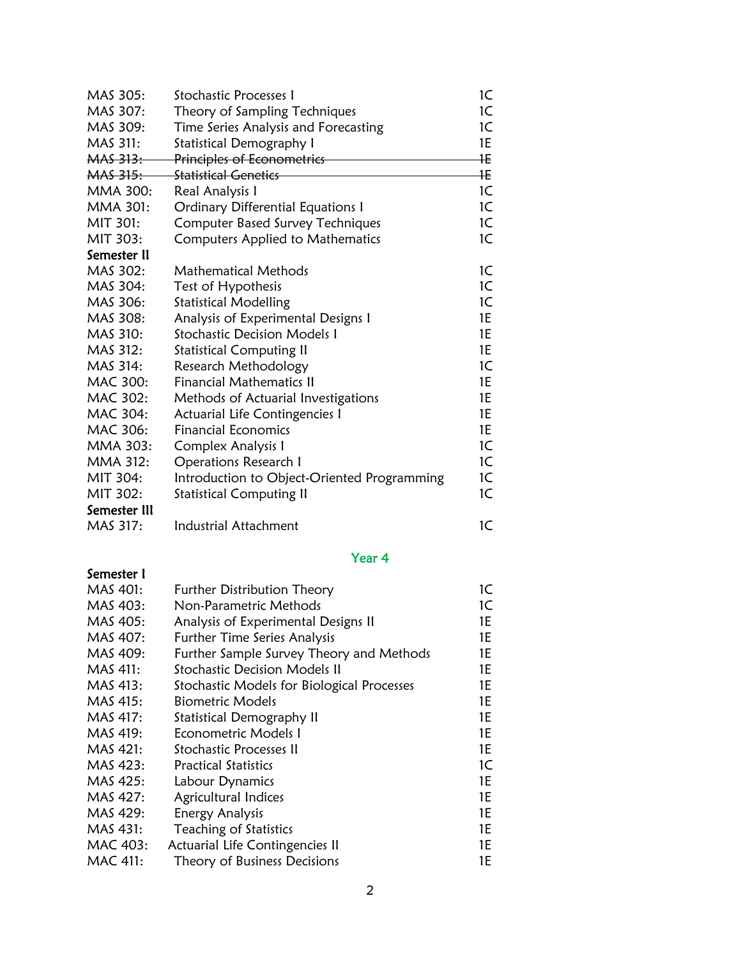| MAS 305:        | <b>Stochastic Processes I</b>               | 1C             |
|-----------------|---------------------------------------------|----------------|
| MAS 307:        | Theory of Sampling Techniques               | 1C             |
| MAS 309:        | Time Series Analysis and Forecasting        | 1C             |
| MAS 311:        | <b>Statistical Demography I</b>             | 1E             |
| <b>MAS 313:</b> | Principles of Econometrics                  | 1E             |
| <b>MAS 315:</b> | <b>Statistical Genetics</b>                 | łΕ             |
| MMA 300:        | Real Analysis I                             | 1 <sup>C</sup> |
| <b>MMA 301:</b> | <b>Ordinary Differential Equations I</b>    | 1C             |
| MIT 301:        | <b>Computer Based Survey Techniques</b>     | 1C             |
| MIT 303:        | Computers Applied to Mathematics            | 1C             |
| Semester II     |                                             |                |
| MAS 302:        | <b>Mathematical Methods</b>                 | 1C             |
| MAS 304:        | Test of Hypothesis                          | 1C             |
| MAS 306:        | <b>Statistical Modelling</b>                | 1C             |
| MAS 308:        | Analysis of Experimental Designs I          | 1E             |
| MAS 310:        | <b>Stochastic Decision Models I</b>         | 1E             |
| MAS 312:        | <b>Statistical Computing II</b>             | 1E             |
| MAS 314:        | Research Methodology                        | 1C             |
| MAC 300:        | <b>Financial Mathematics II</b>             | 1E             |
| MAC 302:        | Methods of Actuarial Investigations         | 1E             |
| MAC 304:        | Actuarial Life Contingencies I              | 1E             |
| MAC 306:        | <b>Financial Economics</b>                  | 1E             |
| MMA 303:        | Complex Analysis I                          | 1C             |
| MMA 312:        | <b>Operations Research I</b>                | 1C             |
| MIT 304:        | Introduction to Object-Oriented Programming | 1C             |
| MIT 302:        | <b>Statistical Computing II</b>             | 1C             |
| Semester III    |                                             |                |
| MAS 317:        | <b>Industrial Attachment</b>                | 1C             |
|                 | Year 4                                      |                |
| Semester I      |                                             |                |
| MAS 401:        | <b>Further Distribution Theory</b>          | 1C             |
| $MAS$ $A\Omega$ | Non-Parametric Methods                      | $1\subset$     |

| MAS 403: | Non-Parametric Methods                     | 1C  |
|----------|--------------------------------------------|-----|
| MAS 405: | Analysis of Experimental Designs II        | 1E. |
| MAS 407: | <b>Further Time Series Analysis</b>        | 1E  |
| MAS 409: | Further Sample Survey Theory and Methods   | 1E  |
| MAS 411: | <b>Stochastic Decision Models II</b>       | 1E  |
| MAS 413: | Stochastic Models for Biological Processes | 1E  |
| MAS 415: | <b>Biometric Models</b>                    | 1E  |
| MAS 417: | Statistical Demography II                  | 1E  |
| MAS 419: | Econometric Models 1                       | 1E  |
| MAS 421: | Stochastic Processes II                    | 1E  |
| MAS 423: | <b>Practical Statistics</b>                | 1C  |
| MAS 425: | Labour Dynamics                            | 1E  |
| MAS 427: | Agricultural Indices                       | 1E  |
| MAS 429: | Energy Analysis                            | 1E  |
| MAS 431: | Teaching of Statistics                     | 1E  |
| MAC 403: | Actuarial Life Contingencies II            | 1E  |
| MAC 411: | Theory of Business Decisions               | 1E  |